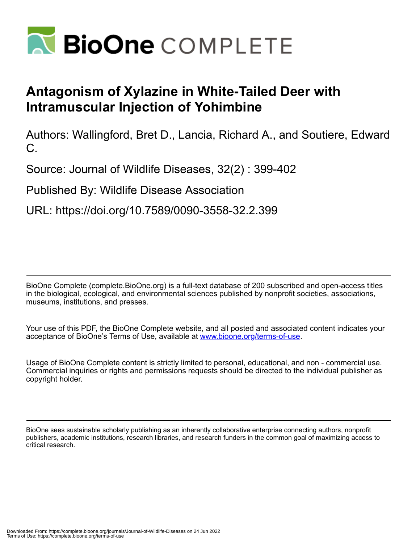

## **Antagonism of Xylazine in White-Tailed Deer with Intramuscular Injection of Yohimbine**

Authors: Wallingford, Bret D., Lancia, Richard A., and Soutiere, Edward C.

Source: Journal of Wildlife Diseases, 32(2) : 399-402

Published By: Wildlife Disease Association

URL: https://doi.org/10.7589/0090-3558-32.2.399

BioOne Complete (complete.BioOne.org) is a full-text database of 200 subscribed and open-access titles in the biological, ecological, and environmental sciences published by nonprofit societies, associations, museums, institutions, and presses.

Your use of this PDF, the BioOne Complete website, and all posted and associated content indicates your acceptance of BioOne's Terms of Use, available at www.bioone.org/terms-of-use.

Usage of BioOne Complete content is strictly limited to personal, educational, and non - commercial use. Commercial inquiries or rights and permissions requests should be directed to the individual publisher as copyright holder.

BioOne sees sustainable scholarly publishing as an inherently collaborative enterprise connecting authors, nonprofit publishers, academic institutions, research libraries, and research funders in the common goal of maximizing access to critical research.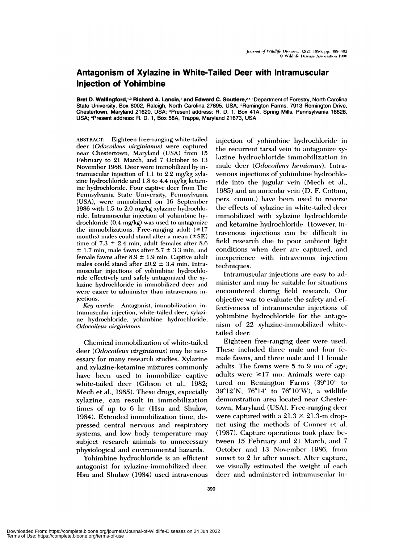## **Antagonism of Xylazine in White-Tailed Deer with Intramuscular Injection of Yohimbine**

**Bret D. Walllngford,'3 Richard A. Lancia,' and Edward C. Soutiere,24** 'Department of Forestry, North Carolina State University, Box 8002, Raleigh, North Carolina 27695, USA; <sup>2</sup>Remington Farms, 7913 Remington Drive, Chestertown, Maryland 21620, USA; <sup>3</sup>Present address: R. D. 1, Box 41A, Spring Mills, Pennsylvania 16828, USA; 4Present address: R. D. 1, Box 58A, Trappe, Maryland 21673, USA

ABSTRACT: Eighteen free-ranging white-tailed deem *(Odicoileus virginianus)* were captured near Chestertown, Maryland (USA) from 15 February to 21 March, and 7 October to 13 November 1986. Deer were immobilized by intramuscular injection of 1.1 to 2.2 mg/kg xylazine hydrochloride and  $1.8$  to  $4.4$  mg/kg ketamine hydrochloride. Four captive deer from The Pennsylvania State University, Pennsylvania (USA), were immobilized on 16 September 1986 with  $1.5$  to  $2.0$  mg/kg xylazine hydrochloride. Intramuscular injection of yohimbine hydrochlomide (0.4 mg/kg) was used to antagonize the immobilizations. Free-ranging adult  $(\geq 17)$ months) males could stand after a mean ( $\pm$ SE) time of  $7.3 \pm 2.4$  min, adult females after 8.6  $\pm$  1.7 min, male fawns after 5.7  $\pm$  3.3 min, and female fawns after  $8.9 \pm 1.9$  min. Captive adult males could stand after  $20.2 \pm 3.4$  min. Intramuscular injections of yohimbine hydrochiloride effectively and safely antagonized the xylazine hydrochloride in immobilized deer and were easier to administer than intravenous injections.

*Key words:* Antagonist, inn mobilization, intramuscular injection, white-tailed deer, xylazi ne hydrochloride, yohimbine hydrochloride, *Odocoileus virginianus.*

Chemical immobilization of white-tailed deer *(Odocoileus virginianus)* may be nec essary for many research studies. Xylazine and xylazine-ketamine mixtures commonly have been used to immobilize captive white-tailed deer (Gibson et al., 1982; Mech et al., 1985). These drugs, especially xylazine, can result in immobilization times of up to 6 hr (Hsu and Shulaw, 1984). Extended immobilization time, depressed central nervous and respiratory systems, and low body temperature may subject research animals to unnecessary physiological and environmental hazards.

Yohimbine hydrochloride is an efficient antagonist for xylazime-immnobilized deer. Hsu and Shulaw (1984) used intravenous injection of yohimbine hydrochloride in the recurrent tarsal vein to antagonize xylazine hydrochloride immobilization in mule deer (Odocoileus hemionus). Intravenous injections of yohimbine hydrochloride into the jugular vein (Mech et al., 1985) and an auricular vein (D. F. Cottam, pers. comm.) have been used to reverse the effects of xylazine in white-tailed deer immobilized with xylazine hydrochloride and ketamine hydrochloride. However, intravenous injections can be difficult in field research due to poor ambient light conditions when deer are captured, and inexperience with intravenous injection techniques.

Intramuscular injections are easy to administer and mnay be suitable for situations encountered during field research. Our objective was to evaluate the safety and effectiveness of intramuscular injections of yohimbine hydrochloride for the antagonism of 22 xylazine-immobilized whitetailed deer.

Eighteen free-ranging deer were used. These included three male and four female fawns, and three male and 11 female adults. The fawns were 5 to 9 mo of age; adults were  $\geq 17$  mo. Animals were captured on Remington Farms  $(39°10'$  to  $39^{\circ}12'$ N, 76 $^{\circ}14'$  to 76 $^{\circ}10'$ W), a wildlife demonstration area located near Chestertown, Maryland (USA). Free-ranging deer were captured with a  $21.3 \times 21.3$ -m dropnet using the methods of Conner et al. (1987). Capture operations took place between 15 February and 21 March, and 7 October and 13 November 1986, from sunset to  $2$  hr after sunset. After capture, we visually estimated the weight of each deer and administered intramuscular in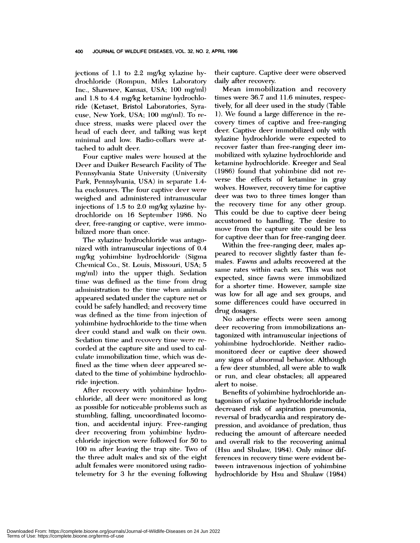jections of 1.1 to 2.2 mg/kg xylazine hydrochloride (Rompun, Miles Laboratory Inc., Shawnee, Kansas, USA; 100 mg/ml) and 1.8 to 4.4 mg/kg ketamine hydrochloride (Ketaset, Bristol Laboratories, Syracuse, New York, USA; 100 mg/ml). To reduce stress, masks were placed over the head of each deer, and talking was kept minimal and low. Radio-collars were attached to adult deer.

Four captive males were housed at the **Deer and Duiker Research Facility of The** Pennsylvania State University (University Park, Pennsylvania, USA) in separate 1.4ha enclosures. The four captive deer were weighed and administered intramuscular injections of  $1.5$  to  $2.0$  mg/kg xylazine hydrochioride on 16 September 1986. No *deer, free-ranging or captive, were immo*bihized more than once.

The xylazine hydrochloride was antagonized with intramuscular injections of 0.4 mg/kg yohimbine hydrochloride (Sigma Chemical Co., St. Louis, Missouri, USA; 5  $mg/ml$ ) into the upper thigh. Sedation time was defined as the time from drug administration to the time when animals appeared sedated under the capture net or could be safely handled; and recovery time was defined as the time from injection of yohimbine hydrochloride to the time when deer could stand and walk on their own. Sedation time and recovery time were recorded at the capture site and used to calculate immobilization time, which was defined as the time when deer appeared sedated to the time of yohimbine hydrochloride injection.

After recovery with yohimbine hydrochloride, all deer were monitored as long as possible for noticeable problems such as stumbling, falling, uncoordinated locomotion, and accidental injury. Free-ranging deer recovering from yohimbine hydrochloride injection were followed for 50 to 100 m after leaving the trap site. Two of the three adult males and six of the eight adult females were monitored using radiotelemetry for 3 hr the evening following

their capture. Captive deer were observed daily after recovery.

Mean immobilization and recovery times were 36.7 and 11.6 minutes, respectively, for all deer used in the study (Table 1). We found a large difference in the recovery times of captive and free-ranging deer. Captive deer immobilized only with xylazine hydrochloride were expected to recover faster than free-ranging deer immobilized with xylazine hydrochloride and ketamine hydrochloride. Kreeger and Seal  $(1986)$  found that yohimbine did not reverse the effects of ketamine in gray wolves. However, recovery time for captive deer was two to three times longer than the recovery time for any other group. This could be due to captive deer being accustomed to handling. The desire to move from the capture site could be less for captive deer than for free-ranging deer.

Within the free-ranging deer, males appeared to recover slightly faster than females. Fawns and adults recovered at the same rates within each sex. This was not expected, since fawns were immobilized for a shorter time. However, sample size was low for all age and sex groups, and some differences could have occurred in drug dosages.

No adverse effects were seem among deer recovering from immobilizations antagonized with intranmuscular injections of yohimbine hydrochloride. Neither radiomonitored deer or captive deer showed any signs of abnormal behavior. Although a few deer stumbled, all were able to walk *or* run, and clear obstacles; all appeared alert to noise.

Benefits of yohimbine hydrochloride antagonism of xylazine hydrochloride include decreased risk of aspiration pneumonia, reversal of bradycardia and respiratory depression, and avoidance of predation, thus reducing the amount of aftercare needed and overall risk to the recovering animal (Hsu and Shulaw, 1984). Only minor differences in recovery time were evident between intravenous injection of yohimbine hydrochloride by Hsu and Shulaw (1984)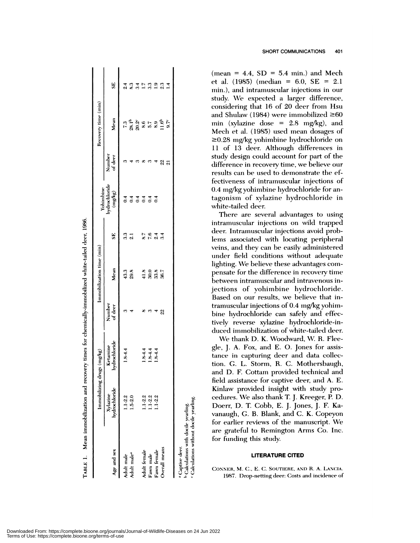|                                                    |                                  | Immobilizing drugs (mg/kg) |                   | Immobilization time (min) |                 |                                       |                   | Recovery time (min)                      |                                              |
|----------------------------------------------------|----------------------------------|----------------------------|-------------------|---------------------------|-----------------|---------------------------------------|-------------------|------------------------------------------|----------------------------------------------|
| Age and sex                                        | hydrochloride<br><b>Xylazine</b> | hydrochloride<br>Ketamine  | Number<br>of deer | Mean                      | SE,             | Yohimbine<br>hydrochloride<br>(mg/kg) | Number<br>of deer | Mean                                     | SE                                           |
| Adult male                                         | $1.1 - 2.2$                      | $1.8 - 4.4$                | ო                 |                           |                 |                                       |                   |                                          | $\frac{4}{3}$                                |
| Adult male <sup>a</sup>                            | $1.5 - 2.0$                      |                            |                   | 43.3<br>29.8              | 3.3<br>2.1      | $\ddot{0.4}$                          |                   |                                          | 8.3                                          |
|                                                    |                                  |                            |                   |                           |                 | 0.4                                   |                   |                                          |                                              |
| Adult female                                       | $1.1 - 2.2$                      |                            |                   |                           | 8.7             |                                       |                   | 1<br>2 3 8 9 10 3 9 10<br>2 8 9 10 10 11 | $\begin{array}{c} 34 \\ 17 \\ 3 \end{array}$ |
| Fawn male                                          | $1.1 - 2.2$                      | 1844<br>1844<br>1844       | ఌ                 | 8<br>4888                 | 76              | $\overline{c}$                        |                   |                                          |                                              |
| Fawn female                                        | $1.1 - 2.2$                      |                            |                   |                           | 2.4             | $\overline{0.4}$                      |                   |                                          | $\frac{9}{2}$                                |
| Overall means                                      |                                  |                            | 22                |                           | $3\overline{4}$ |                                       | 22                |                                          | 2.3                                          |
|                                                    |                                  |                            |                   |                           |                 |                                       | ត                 | $9.7^{\circ}$                            |                                              |
| Captive deer.                                      |                                  |                            |                   |                           |                 |                                       |                   |                                          |                                              |
| <sup>b</sup> Calculations with docile yearling.    |                                  |                            |                   |                           |                 |                                       |                   |                                          |                                              |
| <sup>c</sup> Calculations without docile yearling. |                                  |                            |                   |                           |                 |                                       |                   |                                          |                                              |

Mean immobilization and recovery times for chemically-immobilized white-tailed deer, 1986

TABLE 1.

SHORT COMMUNICATIONS 401

(mean = 4.4,  $SD = 5.4$  min.) and Mech et al.  $(1985)$  (median = 6.0, SE = 2.1) min.), and intramuscular injections in our study. We expected a larger difference, considering that 16 of 20 deer from Hsu and Shulaw (1984) were immobilized  $\geq 60$ min (xylazine dose =  $2.8 \text{ mg/kg}$ ), and Mech et al. (1985) used mean dosages of  $\geq$ 0.28 mg/kg yohimbine hydrochloride on 11 of 13 deer. Although differences in study design could account for part of the difference in recovery time, we believe our results can be used to demonstrate the effectiveness of intramuscular injections of 0.4 mg/kg yohimbine hydrochloride for antagonism of xylazine hydrochloride in white-tailed deer.

There are several advantages to using intramuscular injections on wild trapped deer. Intramuscular injections avoid problems associated with locating peripheral veins, and they can be easily administered under field conditions without adequate lighting. We believe these advantages compensate for the difference in recovery time between intramuscular and intravenous injections of yohimbine hydrochloride. Based on our results, we believe that intramuscular injections of 0.4 mg/kg yohimbine hydrochloride can safely and effectively reverse xylazine hydrochloride-induced immobilization of white-tailed deer.

We thank D. K. Woodward, W. R. Fleegle, J. A. Fox, and E. O. Jones for assistance in capturing deer and data collection. G. L. Storm, R. C. Mothersbaugh, and D. F. Cottam provided technical and field assistance for captive deer, and A. E. Kinlaw provided insight with study procedures. We also thank T. J. Kreeger, P. D. Doerr, D. T. Cobb, E. J. Jones, J. F. Kavanaugh, G. B. Blank, and C. K. Copeyon for earlier reviews of the manuscript. We are grateful to Remington Arms Co. Inc. for funding this study.

## **LITERATURE CITED**

CONNER, M. C., E. C. SOUTIERE, AND R. A. LANCIA. 1987. Drop-netting deer: Costs and incidence of